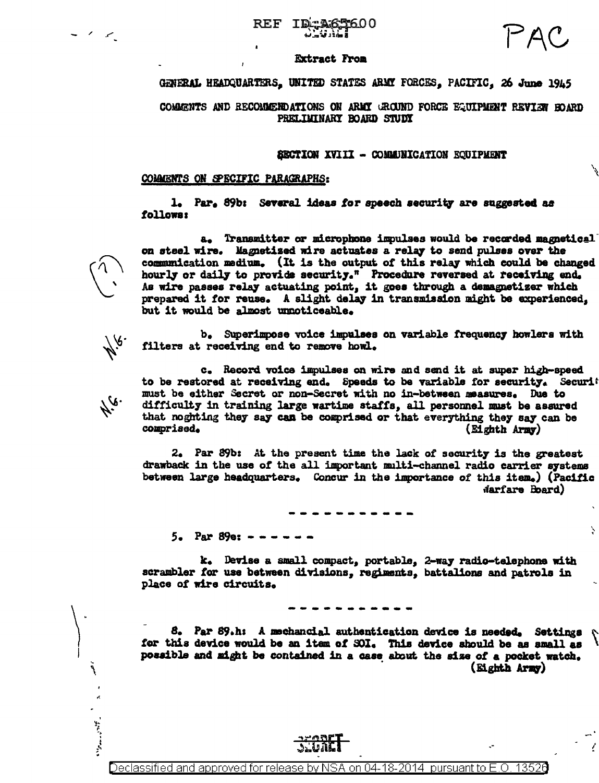# REF

#### **Extract From**

GENERAL HEADQUARTERS. UNITED STATES ARMY FORCES. PACIFIC. 26 June 1945

COMMENTS AND RECOMMENDATIONS ON ARMY GROUND FORCE EQUIPMENT REVIEW HOARD PRELIMINARY BOARD STUDY

#### SECTION XVIII - COMMUNICATION EQUIPMENT

### COMMENTS ON SPECIFIC PARAGRAPHS:

M.e.

76.

٦

1. Par. 89b: Several ideas for speech security are suggested as followar

a. Transmitter or microphone impulses would be recorded magnetical on steel wire. Magnetized wire actuates a relay to send pulses over the communication medium. (It is the output of this relay which could be changed hourly or daily to provide security." Procedure reversed at receiving end. As wire passes relay actuating point, it goes through a demagnetizer which prepared it for reuse. A slight delay in transmission might be experienced, but it would be almost unnoticeable.

b. Superimpose voice impulses on variable frequency howlers with filters at receiving end to remove howl.

c. Record voice impulses on wire and send it at super high-speed to be restored at receiving end. Speeds to be variable for security. Securit must be either Secret or non-Secret with no in-between measures. Due to difficulty in training large wartime staffs, all personnel must be assured that noghting they say can be comprised or that everything they say can be comprised. (Eighth Army)

2. Par 89b: At the present time the lack of security is the greatest drawback in the use of the all important multi-channel radio carrier systems between large headquarters. Concur in the importance of this item.) (Pacific Narfare Board)

Ņ

 $5.$  Par 89e:  $-$ 

k. Devise a small compact, portable, 2-way radio-telephone with scrambler for use between divisions, regiments, battalions and patrols in place of wire circuits.

8. Par 89.h: A mechancial authentication device is needed. Settings  $\mathcal{L}$ for this device would be an item of SOI. This device should be as small as possible and might be contained in a case about the size of a pocket watch. (Eighth Army)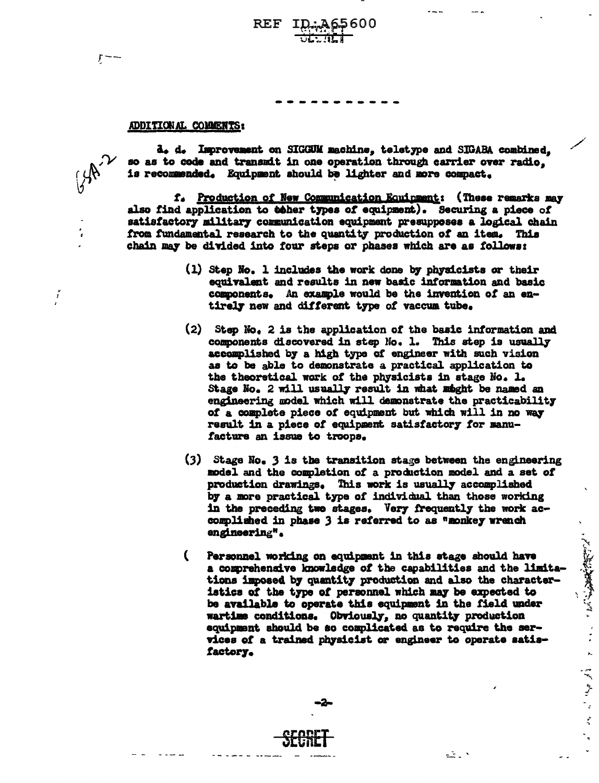# 65600 REF

## ADDITIONAL COMMENTS:

d. d. Improvement on SIGGUM machine, teletype and SIGABA combined, so as to code and transmit in one operation through carrier over radio. is recommended. Equipment should be lighter and more compact.

f. Production of New Communication Equipment: (These remarks may also find application to ther types of equipment). Securing a piece of satisfactory military communication equipment presupposes a logical chain from fundamental research to the quantity production of an item. This chain may be divided into four steps or phases which are as follows:

- (1) Step No. 1 includes the work done by physicists or their equivalent and results in new basic information and basic components. An example would be the invention of an entirely new and different type of vaccum tube.
- (2) Step No. 2 is the application of the basic information and components discovered in step No. 1. This step is usually accomplished by a high type of engineer with such vision as to be able to demonstrate a practical application to the theoretical work of the physicists in stage No. 1. Stage No. 2 will usually result in what might be named an engineering model which will demonstrate the practicability of a complete piece of equipment but which will in no way result in a piece of equipment satisfactory for manufacture an issue to troops.
- $(3)$  Stage No. 3 is the transition stage between the engineering model and the completion of a production model and a set of production drawings. This work is usually accomplished by a more practical type of individual than those working in the preceding two stages. Very frequently the work accomplished in phase 3 is referred to as "monkey wrench engineering".
- C Personnel working on equipment in this stage should have a comprehensive knowledge of the capabilities and the limitations imposed by quantity production and also the characteristics of the type of personnel which may be expected to be available to operate this equipment in the field under wartime conditions. Obviously, no quantity production equipment should be so complicated as to require the services of a trained physicist or engineer to operate satisfactory.

۰ ـ شه

、又には、 こころ

الاوالا المحامل المالي

í

 $\sum_{i=1}^{n}$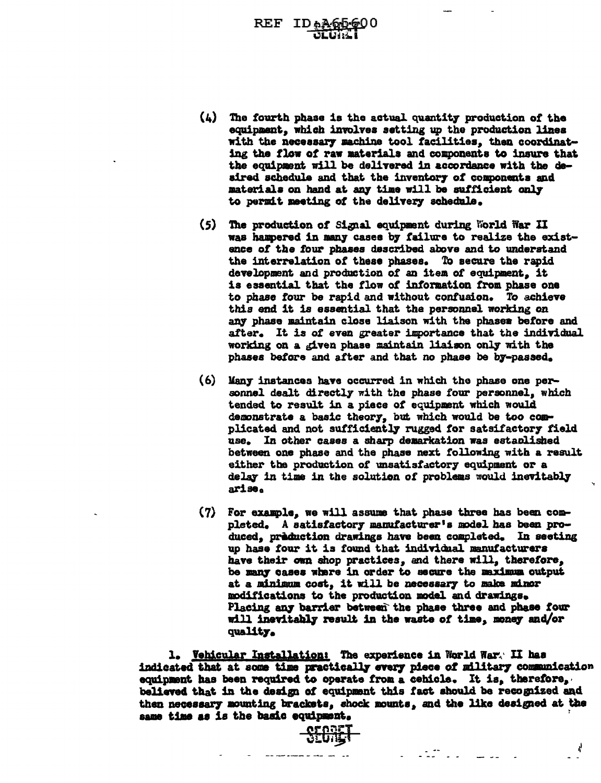REF IDAA

- $(4)$  The fourth phase is the actual quantity production of the equipment, which involves setting up the production lines with the necessary machine tool facilities, then coordinating the flow of raw materials and components to insure that the equipment will be delivered in accordance with the deaired schedule and that the inventory of components and materials on hand at any time will be sufficient only to permit meeting of the delivery schedule.
- (5) The production of Signal equipment during World War II was hampered in many cases by failure to realize the existence of the four phases described above and to understand the interrelation of these phases. To secure the rapid development and production of an item ot equipment. it is essential that the flow of information from phase one to phase four be rapid and without contuaion. To achieve this end it is essential that the personnel working on *azrr* phase maintain close liaison with the phases before and after. It is of even greater importance that the individual working on a given phase maintain liaison only with the phases betore and after and that no phase be b7-pasaed.
- (6) Kan7 instances haYe occurred in which the phase one personnel dealt directly with the phase four personnel, which tended to result in a piece of equipment which would demonstrate a basic theory, but which would be too complicated and not sufficiently rugged for satsifactory field use. In other cases a sharp demarkation was estaplished between one phase and the phase next following with a result. either the production of unsatisfactory equipment or a delay in time in the solution of problems would inevitably arise.
- $(7)$  For example, we will assume that phase three has been completed. A satisfactory manufacturer's model has been produced, priduction drawings have been completed. In seating up hase four it is found that individual manufacturers have their own shop practices, and there will, therefore, be many cases where in order to secure the maximum output at a minimum cost, it will be necessary to make minor modifications to the production model and drawings. Placing any barrier between the phase three and phase four will inevitably result in the waste of time, money and/or qual1t7.

e eta estatubat

1. Vehicular Installation: The experience in World War. II has indicated that at some time practically every piece of military communication equipment has been required to operate from a cehicle. It is, therefore, beliaved that in the design of equipment this fact should be recognized and then necessary mounting brackets, shock mounts, and the like designed at the same time as is the basic equipment.